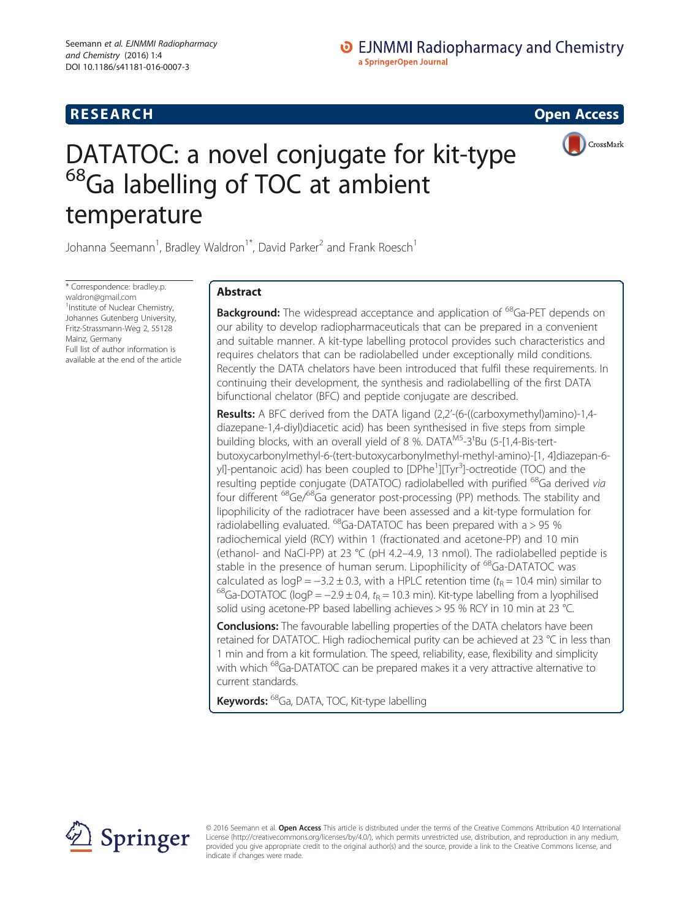## **RESEARCH CHE CHE Open Access**

# DATATOC: a novel conjugate for kit-type <sup>68</sup>Ga labelling of TOC at ambient temperature



Johanna Seemann<sup>1</sup>, Bradley Waldron<sup>1\*</sup>, David Parker<sup>2</sup> and Frank Roesch<sup>1</sup>

\* Correspondence: [bradley.p.](mailto:bradley.p.waldron@gmail.com) [waldron@gmail.com](mailto:bradley.p.waldron@gmail.com) <sup>1</sup>Institute of Nuclear Chemistry, Johannes Gutenberg University, Fritz-Strassmann-Weg 2, 55128 Mainz, Germany Full list of author information is available at the end of the article

## Abstract

**Background:** The widespread acceptance and application of <sup>68</sup>Ga-PET depends on our ability to develop radiopharmaceuticals that can be prepared in a convenient and suitable manner. A kit-type labelling protocol provides such characteristics and requires chelators that can be radiolabelled under exceptionally mild conditions. Recently the DATA chelators have been introduced that fulfil these requirements. In continuing their development, the synthesis and radiolabelling of the first DATA bifunctional chelator (BFC) and peptide conjugate are described.

Results: A BFC derived from the DATA ligand (2,2'-(6-((carboxymethyl)amino)-1,4diazepane-1,4-diyl)diacetic acid) has been synthesised in five steps from simple building blocks, with an overall yield of 8 %. DATA<sup>M5</sup>-3<sup>t</sup>Bu (5-[1,4-Bis-tertbutoxycarbonylmethyl-6-(tert-butoxycarbonylmethyl-methyl-amino)-[1, 4]diazepan-6 yl]-pentanoic acid) has been coupled to [DPhe<sup>1</sup>][Tyr<sup>3</sup>]-octreotide (TOC) and the resulting peptide conjugate (DATATOC) radiolabelled with purified <sup>68</sup>Ga derived via four different 68Ge/68Ga generator post-processing (PP) methods. The stability and lipophilicity of the radiotracer have been assessed and a kit-type formulation for radiolabelling evaluated.  $^{68}$ Ga-DATATOC has been prepared with a  $> 95$  % radiochemical yield (RCY) within 1 (fractionated and acetone-PP) and 10 min (ethanol- and NaCl-PP) at 23 °C (pH 4.2–4.9, 13 nmol). The radiolabelled peptide is stable in the presence of human serum. Lipophilicity of <sup>68</sup>Ga-DATATOC was calculated as  $logP = -3.2 \pm 0.3$ , with a HPLC retention time  $(t_R = 10.4$  min) similar to <sup>68</sup>Ga-DOTATOC (logP = −2.9 ± 0.4, t<sub>R</sub> = 10.3 min). Kit-type labelling from a lyophilised solid using acetone-PP based labelling achieves > 95 % RCY in 10 min at 23 °C.

**Conclusions:** The favourable labelling properties of the DATA chelators have been retained for DATATOC. High radiochemical purity can be achieved at 23 °C in less than 1 min and from a kit formulation. The speed, reliability, ease, flexibility and simplicity with which <sup>68</sup>Ga-DATATOC can be prepared makes it a very attractive alternative to current standards.

Keywords: <sup>68</sup>Ga, DATA, TOC, Kit-type labelling



© 2016 Seemann et al. Open Access This article is distributed under the terms of the Creative Commons Attribution 4.0 International License [\(http://creativecommons.org/licenses/by/4.0/](http://creativecommons.org/licenses/by/4.0/)), which permits unrestricted use, distribution, and reproduction in any medium, provided you give appropriate credit to the original author(s) and the source, provide a link to the Creative Commons license, and indicate if changes were made.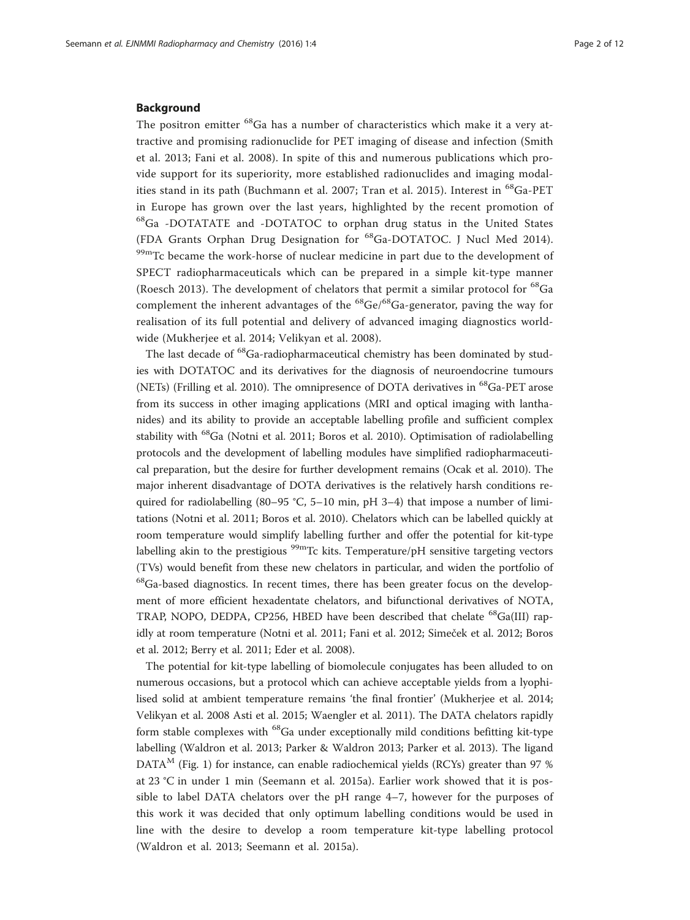#### Background

The positron emitter <sup>68</sup>Ga has a number of characteristics which make it a very attractive and promising radionuclide for PET imaging of disease and infection (Smith et al. [2013](#page-11-0); Fani et al. [2008\)](#page-10-0). In spite of this and numerous publications which provide support for its superiority, more established radionuclides and imaging modal-ities stand in its path (Buchmann et al. [2007;](#page-10-0) Tran et al. [2015](#page-11-0)). Interest in <sup>68</sup>Ga-PET in Europe has grown over the last years, highlighted by the recent promotion of 68Ga -DOTATATE and -DOTATOC to orphan drug status in the United States (FDA Grants Orphan Drug Designation for 68Ga-DOTATOC. J Nucl Med [2014](#page-10-0)). <sup>99m</sup>Tc became the work-horse of nuclear medicine in part due to the development of SPECT radiopharmaceuticals which can be prepared in a simple kit-type manner (Roesch [2013](#page-11-0)). The development of chelators that permit a similar protocol for <sup>68</sup>Ga complement the inherent advantages of the  ${}^{68}$ Ge/ ${}^{68}$ Ga-generator, paving the way for realisation of its full potential and delivery of advanced imaging diagnostics worldwide (Mukherjee et al. [2014](#page-11-0); Velikyan et al. [2008\)](#page-11-0).

The last decade of <sup>68</sup>Ga-radiopharmaceutical chemistry has been dominated by studies with DOTATOC and its derivatives for the diagnosis of neuroendocrine tumours (NETs) (Frilling et al. [2010](#page-10-0)). The omnipresence of DOTA derivatives in  $^{68}Ga$ -PET arose from its success in other imaging applications (MRI and optical imaging with lanthanides) and its ability to provide an acceptable labelling profile and sufficient complex stability with 68Ga (Notni et al. [2011;](#page-11-0) Boros et al. [2010](#page-10-0)). Optimisation of radiolabelling protocols and the development of labelling modules have simplified radiopharmaceutical preparation, but the desire for further development remains (Ocak et al. [2010\)](#page-11-0). The major inherent disadvantage of DOTA derivatives is the relatively harsh conditions required for radiolabelling (80–95 °C, 5–10 min, pH 3–4) that impose a number of limitations (Notni et al. [2011;](#page-11-0) Boros et al. [2010](#page-10-0)). Chelators which can be labelled quickly at room temperature would simplify labelling further and offer the potential for kit-type labelling akin to the prestigious  $99m$ Tc kits. Temperature/pH sensitive targeting vectors (TVs) would benefit from these new chelators in particular, and widen the portfolio of  $^{68}$ Ga-based diagnostics. In recent times, there has been greater focus on the development of more efficient hexadentate chelators, and bifunctional derivatives of NOTA, TRAP, NOPO, DEDPA, CP256, HBED have been described that chelate <sup>68</sup>Ga(III) rapidly at room temperature (Notni et al. [2011;](#page-11-0) Fani et al. [2012](#page-10-0); Simeček et al. [2012;](#page-11-0) Boros et al. [2012;](#page-10-0) Berry et al. [2011;](#page-10-0) Eder et al. [2008](#page-10-0)).

The potential for kit-type labelling of biomolecule conjugates has been alluded to on numerous occasions, but a protocol which can achieve acceptable yields from a lyophilised solid at ambient temperature remains 'the final frontier' (Mukherjee et al. [2014](#page-11-0); Velikyan et al. [2008](#page-11-0) Asti et al. [2015](#page-10-0); Waengler et al. [2011](#page-11-0)). The DATA chelators rapidly form stable complexes with  $^{68}$ Ga under exceptionally mild conditions befitting kit-type labelling (Waldron et al. [2013](#page-11-0); Parker & Waldron [2013](#page-11-0); Parker et al. [2013\)](#page-11-0). The ligand  $DATA<sup>M</sup>$  (Fig. [1\)](#page-2-0) for instance, can enable radiochemical yields (RCYs) greater than 97 % at 23 °C in under 1 min (Seemann et al. [2015a\)](#page-11-0). Earlier work showed that it is possible to label DATA chelators over the pH range 4–7, however for the purposes of this work it was decided that only optimum labelling conditions would be used in line with the desire to develop a room temperature kit-type labelling protocol (Waldron et al. [2013;](#page-11-0) Seemann et al. [2015a](#page-11-0)).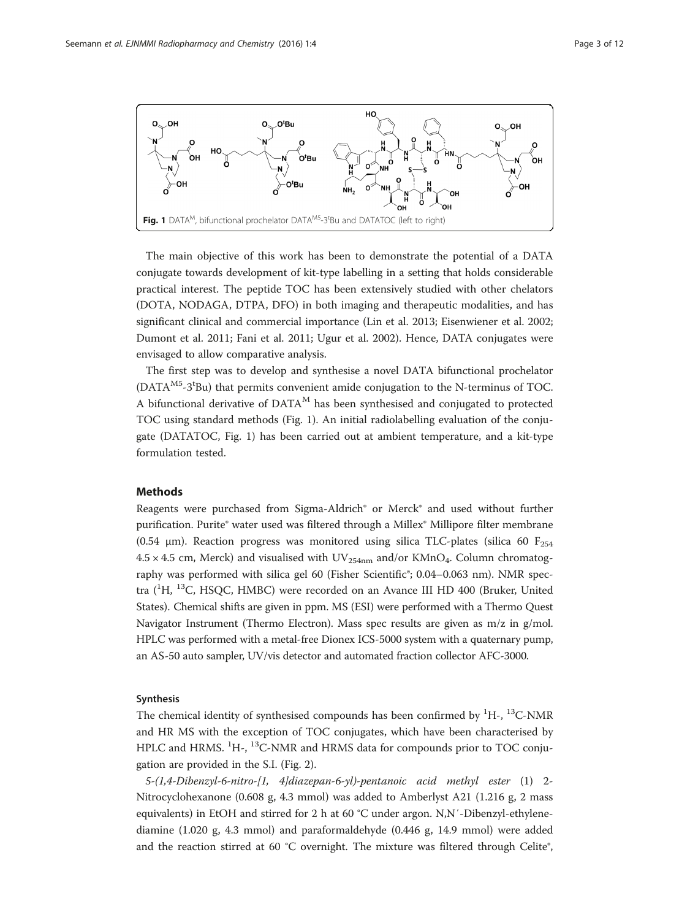<span id="page-2-0"></span>

The main objective of this work has been to demonstrate the potential of a DATA conjugate towards development of kit-type labelling in a setting that holds considerable practical interest. The peptide TOC has been extensively studied with other chelators (DOTA, NODAGA, DTPA, DFO) in both imaging and therapeutic modalities, and has significant clinical and commercial importance (Lin et al. [2013;](#page-10-0) Eisenwiener et al. [2002](#page-10-0); Dumont et al. [2011;](#page-10-0) Fani et al. [2011](#page-10-0); Ugur et al. [2002](#page-11-0)). Hence, DATA conjugates were envisaged to allow comparative analysis.

The first step was to develop and synthesise a novel DATA bifunctional prochelator (DATA<sup>M5</sup>-3<sup>t</sup>Bu) that permits convenient amide conjugation to the N-terminus of TOC. A bifunctional derivative of  $DATA<sup>M</sup>$  has been synthesised and conjugated to protected TOC using standard methods (Fig. 1). An initial radiolabelling evaluation of the conjugate (DATATOC, Fig. 1) has been carried out at ambient temperature, and a kit-type formulation tested.

## Methods

Reagents were purchased from Sigma-Aldrich® or Merck® and used without further purification. Purite® water used was filtered through a Millex® Millipore filter membrane (0.54 μm). Reaction progress was monitored using silica TLC-plates (silica 60  $F_{254}$  $4.5 \times 4.5$  cm, Merck) and visualised with UV<sub>254nm</sub> and/or KMnO<sub>4</sub>. Column chromatography was performed with silica gel 60 (Fisher Scientific®; 0.04-0.063 nm). NMR spectra (<sup>1</sup>H, <sup>13</sup>C, HSQC, HMBC) were recorded on an Avance III HD 400 (Bruker, United States). Chemical shifts are given in ppm. MS (ESI) were performed with a Thermo Quest Navigator Instrument (Thermo Electron). Mass spec results are given as m/z in g/mol. HPLC was performed with a metal-free Dionex ICS-5000 system with a quaternary pump, an AS-50 auto sampler, UV/vis detector and automated fraction collector AFC-3000.

#### Synthesis

The chemical identity of synthesised compounds has been confirmed by  ${}^{1}H$ -,  ${}^{13}C$ -NMR and HR MS with the exception of TOC conjugates, which have been characterised by HPLC and HRMS. <sup>1</sup>H-, <sup>13</sup>C-NMR and HRMS data for compounds prior to TOC conjugation are provided in the S.I. (Fig. [2\)](#page-3-0).

5-(1,4-Dibenzyl-6-nitro-[1, 4]diazepan-6-yl)-pentanoic acid methyl ester (1) 2- Nitrocyclohexanone (0.608 g, 4.3 mmol) was added to Amberlyst A21 (1.216 g, 2 mass equivalents) in EtOH and stirred for 2 h at 60 °C under argon. N,N′-Dibenzyl-ethylenediamine (1.020 g, 4.3 mmol) and paraformaldehyde (0.446 g, 14.9 mmol) were added and the reaction stirred at 60 °C overnight. The mixture was filtered through Celite®,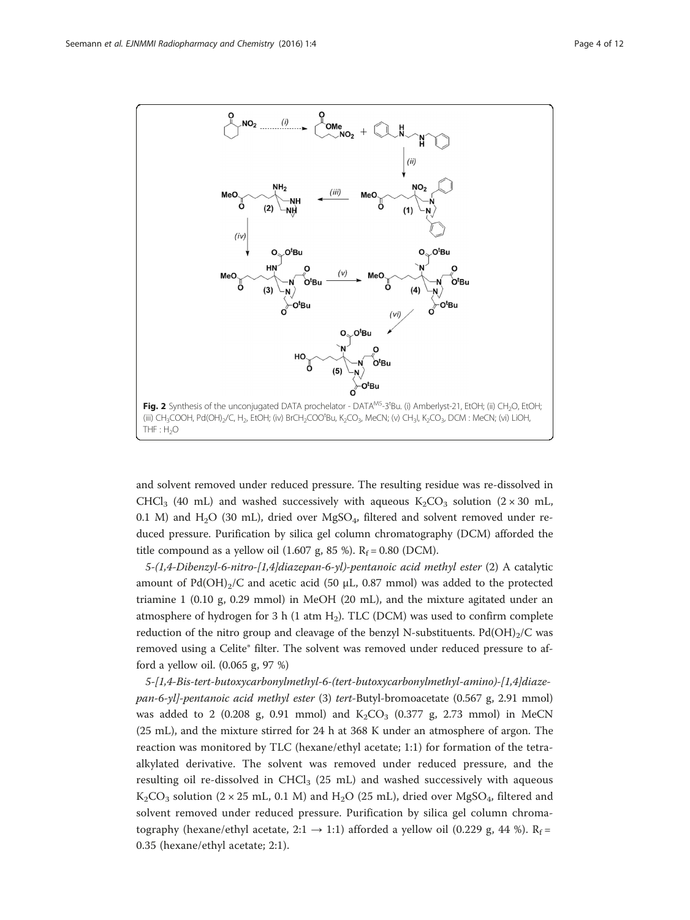<span id="page-3-0"></span>

and solvent removed under reduced pressure. The resulting residue was re-dissolved in CHCl<sub>3</sub> (40 mL) and washed successively with aqueous  $K_2CO_3$  solution (2 × 30 mL, 0.1 M) and  $H_2O$  (30 mL), dried over MgSO<sub>4</sub>, filtered and solvent removed under reduced pressure. Purification by silica gel column chromatography (DCM) afforded the title compound as a yellow oil (1.607 g, 85 %).  $R_f = 0.80$  (DCM).

5-(1,4-Dibenzyl-6-nitro-[1,4]diazepan-6-yl)-pentanoic acid methyl ester (2) A catalytic amount of Pd(OH)<sub>2</sub>/C and acetic acid (50 μL, 0.87 mmol) was added to the protected triamine 1 (0.10 g, 0.29 mmol) in MeOH (20 mL), and the mixture agitated under an atmosphere of hydrogen for 3 h (1 atm  $H_2$ ). TLC (DCM) was used to confirm complete reduction of the nitro group and cleavage of the benzyl N-substituents. Pd(OH)<sub>2</sub>/C was removed using a Celite® filter. The solvent was removed under reduced pressure to afford a yellow oil. (0.065 g, 97 %)

5-[1,4-Bis-tert-butoxycarbonylmethyl-6-(tert-butoxycarbonylmethyl-amino)-[1,4]diazepan-6-yl]-pentanoic acid methyl ester (3) tert-Butyl-bromoacetate (0.567 g, 2.91 mmol) was added to 2 (0.208 g, 0.91 mmol) and  $K_2CO_3$  (0.377 g, 2.73 mmol) in MeCN (25 mL), and the mixture stirred for 24 h at 368 K under an atmosphere of argon. The reaction was monitored by TLC (hexane/ethyl acetate; 1:1) for formation of the tetraalkylated derivative. The solvent was removed under reduced pressure, and the resulting oil re-dissolved in CHCl<sub>3</sub> (25 mL) and washed successively with aqueous  $K_2CO_3$  solution (2 × 25 mL, 0.1 M) and H<sub>2</sub>O (25 mL), dried over MgSO<sub>4</sub>, filtered and solvent removed under reduced pressure. Purification by silica gel column chromatography (hexane/ethyl acetate, 2:1  $\rightarrow$  1:1) afforded a yellow oil (0.229 g, 44 %). R<sub>f</sub> = 0.35 (hexane/ethyl acetate; 2:1).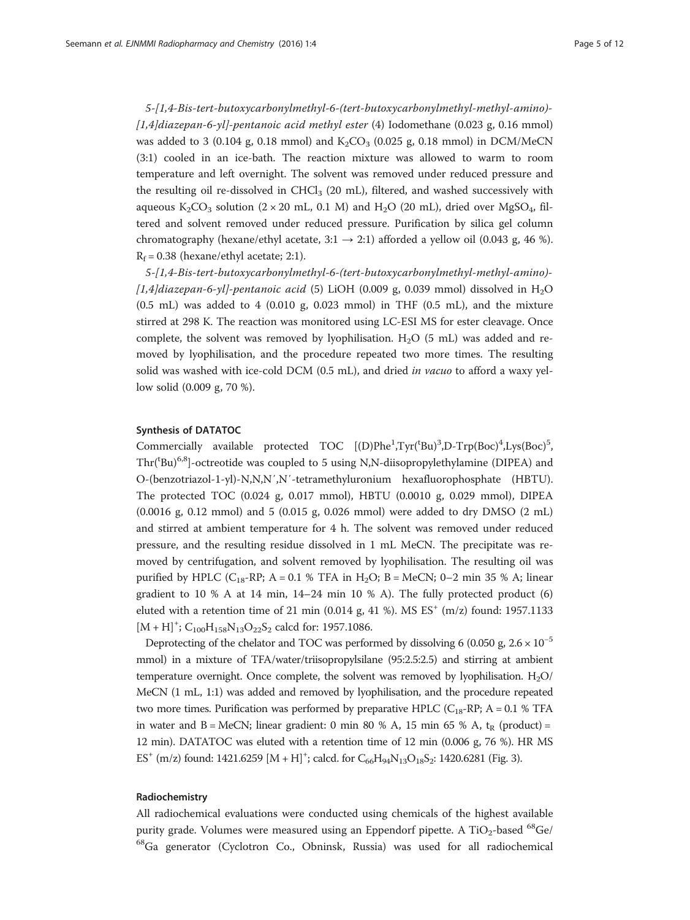5-[1,4-Bis-tert-butoxycarbonylmethyl-6-(tert-butoxycarbonylmethyl-methyl-amino)-  $[1,4]$ diazepan-6-yl]-pentanoic acid methyl ester (4) Iodomethane (0.023 g, 0.16 mmol) was added to 3 (0.104 g, 0.18 mmol) and  $K_2CO_3$  (0.025 g, 0.18 mmol) in DCM/MeCN (3:1) cooled in an ice-bath. The reaction mixture was allowed to warm to room temperature and left overnight. The solvent was removed under reduced pressure and the resulting oil re-dissolved in  $CHCl<sub>3</sub>$  (20 mL), filtered, and washed successively with aqueous  $K_2CO_3$  solution (2 × 20 mL, 0.1 M) and H<sub>2</sub>O (20 mL), dried over MgSO<sub>4</sub>, filtered and solvent removed under reduced pressure. Purification by silica gel column chromatography (hexane/ethyl acetate,  $3:1 \rightarrow 2:1$ ) afforded a yellow oil (0.043 g, 46 %).  $R_f = 0.38$  (hexane/ethyl acetate; 2:1).

5-[1,4-Bis-tert-butoxycarbonylmethyl-6-(tert-butoxycarbonylmethyl-methyl-amino)- [1,4]diazepan-6-yl]-pentanoic acid (5) LiOH (0.009 g, 0.039 mmol) dissolved in H<sub>2</sub>O (0.5 mL) was added to 4 (0.010 g, 0.023 mmol) in THF (0.5 mL), and the mixture stirred at 298 K. The reaction was monitored using LC-ESI MS for ester cleavage. Once complete, the solvent was removed by lyophilisation.  $H_2O$  (5 mL) was added and removed by lyophilisation, and the procedure repeated two more times. The resulting solid was washed with ice-cold DCM (0.5 mL), and dried in vacuo to afford a waxy yellow solid (0.009 g, 70 %).

#### Synthesis of DATATOC

Commercially available protected TOC [(D)Phe<sup>1</sup>,Tyr('Bu)<sup>3</sup>,D-Trp(Boc)<sup>4</sup>,Lys(Boc)<sup>5</sup>, Thr('Bu)<sup>6,8</sup>]-octreotide was coupled to 5 using N,N-diisopropylethylamine (DIPEA) and O-(benzotriazol-1-yl)-N,N,N′,N′-tetramethyluronium hexafluorophosphate (HBTU). The protected TOC (0.024 g, 0.017 mmol), HBTU (0.0010 g, 0.029 mmol), DIPEA  $(0.0016 \text{ g}, 0.12 \text{ mmol})$  and 5  $(0.015 \text{ g}, 0.026 \text{ mmol})$  were added to dry DMSO  $(2 \text{ mL})$ and stirred at ambient temperature for 4 h. The solvent was removed under reduced pressure, and the resulting residue dissolved in 1 mL MeCN. The precipitate was removed by centrifugation, and solvent removed by lyophilisation. The resulting oil was purified by HPLC ( $C_{18}$ -RP; A = 0.1 % TFA in H<sub>2</sub>O; B = MeCN; 0–2 min 35 % A; linear gradient to  $10\%$  A at  $14$  min,  $14-24$  min  $10\%$  A). The fully protected product (6) eluted with a retention time of 21 min (0.014 g, 41 %). MS  $ES^{+}$  (m/z) found: 1957.1133  $[M + H]$ <sup>+</sup>; C<sub>100</sub>H<sub>158</sub>N<sub>13</sub>O<sub>22</sub>S<sub>2</sub> calcd for: 1957.1086.

Deprotecting of the chelator and TOC was performed by dissolving 6 (0.050 g, 2.6  $\times$  10<sup>-5</sup> mmol) in a mixture of TFA/water/triisopropylsilane (95:2.5:2.5) and stirring at ambient temperature overnight. Once complete, the solvent was removed by lyophilisation.  $H_2O/$ MeCN (1 mL, 1:1) was added and removed by lyophilisation, and the procedure repeated two more times. Purification was performed by preparative HPLC ( $C_{18}$ -RP; A = 0.1 % TFA in water and  $B = \text{MeCN}$ ; linear gradient: 0 min 80 % A, 15 min 65 % A, t<sub>R</sub> (product) = 12 min). DATATOC was eluted with a retention time of 12 min (0.006 g, 76 %). HR MS  $ES^+$  (m/z) found: 1421.6259 [M + H]<sup>+</sup>; calcd. for  $C_{66}H_{94}N_{13}O_{18}S_2$ : 1420.6281 (Fig. [3](#page-5-0)).

#### Radiochemistry

All radiochemical evaluations were conducted using chemicals of the highest available purity grade. Volumes were measured using an Eppendorf pipette. A  $TiO<sub>2</sub>$ -based  $^{68}Ge/$ 68Ga generator (Cyclotron Co., Obninsk, Russia) was used for all radiochemical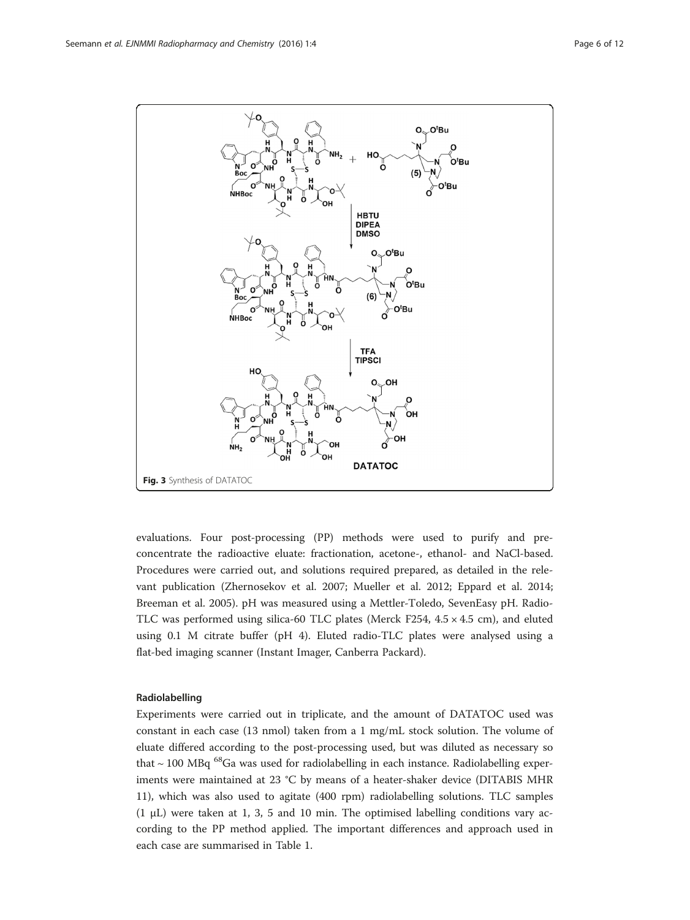<span id="page-5-0"></span>

evaluations. Four post-processing (PP) methods were used to purify and preconcentrate the radioactive eluate: fractionation, acetone-, ethanol- and NaCl-based. Procedures were carried out, and solutions required prepared, as detailed in the relevant publication (Zhernosekov et al. [2007;](#page-11-0) Mueller et al. [2012](#page-11-0); Eppard et al. [2014](#page-10-0); Breeman et al. [2005](#page-10-0)). pH was measured using a Mettler-Toledo, SevenEasy pH. Radio-TLC was performed using silica-60 TLC plates (Merck F254,  $4.5 \times 4.5$  cm), and eluted using 0.1 M citrate buffer (pH 4). Eluted radio-TLC plates were analysed using a flat-bed imaging scanner (Instant Imager, Canberra Packard).

## Radiolabelling

Experiments were carried out in triplicate, and the amount of DATATOC used was constant in each case (13 nmol) taken from a 1 mg/mL stock solution. The volume of eluate differed according to the post-processing used, but was diluted as necessary so that  $\sim$  100 MBq  $^{68}$ Ga was used for radiolabelling in each instance. Radiolabelling experiments were maintained at 23 °C by means of a heater-shaker device (DITABIS MHR 11), which was also used to agitate (400 rpm) radiolabelling solutions. TLC samples (1 μL) were taken at 1, 3, 5 and 10 min. The optimised labelling conditions vary according to the PP method applied. The important differences and approach used in each case are summarised in Table [1.](#page-6-0)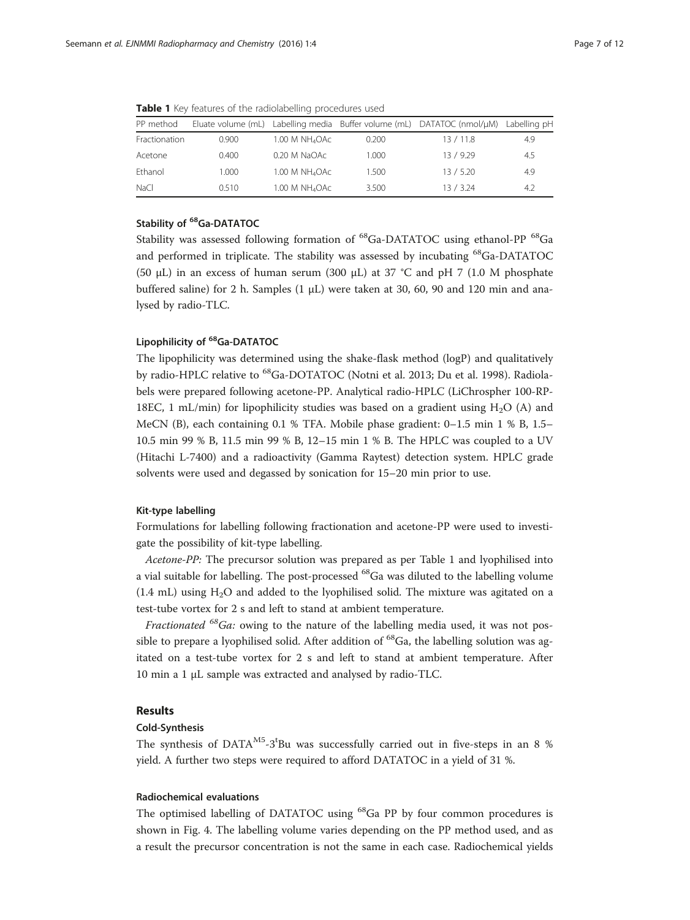| PP method     |       |                            |       | Eluate volume (mL) Labelling media Buffer volume (mL) DATATOC (nmol/µM) | Labelling pH |
|---------------|-------|----------------------------|-------|-------------------------------------------------------------------------|--------------|
| Fractionation | 0.900 | 1.00 M NH <sub>4</sub> OAc | 0.200 | 13/11.8                                                                 | 4.9          |
| Acetone       | 0.400 | 0.20 M NaOAc               | 1.000 | 13/929                                                                  | 4.5          |
| Ethanol       | 1.000 | 1.00 M NH <sub>4</sub> OAc | 1.500 | 13/5.20                                                                 | 4.9          |
| NaCl          | 0.510 | 1.00 M NH <sub>4</sub> OAc | 3.500 | 13/3.24                                                                 | 4.2          |

<span id="page-6-0"></span>Table 1 Key features of the radiolabelling procedures used

## Stability of <sup>68</sup>Ga-DATATOC

Stability was assessed following formation of <sup>68</sup>Ga-DATATOC using ethanol-PP <sup>68</sup>Ga and performed in triplicate. The stability was assessed by incubating <sup>68</sup>Ga-DATATOC (50 μL) in an excess of human serum (300 μL) at 37 °C and pH 7 (1.0 M phosphate buffered saline) for 2 h. Samples (1  $\mu$ L) were taken at 30, 60, 90 and 120 min and analysed by radio-TLC.

#### Lipophilicity of <sup>68</sup>Ga-DATATOC

The lipophilicity was determined using the shake-flask method (logP) and qualitatively by radio-HPLC relative to <sup>68</sup>Ga-DOTATOC (Notni et al. [2013;](#page-11-0) Du et al. [1998](#page-10-0)). Radiolabels were prepared following acetone-PP. Analytical radio-HPLC (LiChrospher 100-RP-18EC, 1 mL/min) for lipophilicity studies was based on a gradient using  $H_2O$  (A) and MeCN (B), each containing 0.1 % TFA. Mobile phase gradient: 0–1.5 min 1 % B, 1.5– 10.5 min 99 % B, 11.5 min 99 % B, 12–15 min 1 % B. The HPLC was coupled to a UV (Hitachi L-7400) and a radioactivity (Gamma Raytest) detection system. HPLC grade solvents were used and degassed by sonication for 15–20 min prior to use.

#### Kit-type labelling

Formulations for labelling following fractionation and acetone-PP were used to investigate the possibility of kit-type labelling.

Acetone-PP: The precursor solution was prepared as per Table 1 and lyophilised into a vial suitable for labelling. The post-processed <sup>68</sup>Ga was diluted to the labelling volume  $(1.4 \text{ mL})$  using H<sub>2</sub>O and added to the lyophilised solid. The mixture was agitated on a test-tube vortex for 2 s and left to stand at ambient temperature.

*Fractionated* <sup>68</sup>Ga: owing to the nature of the labelling media used, it was not possible to prepare a lyophilised solid. After addition of <sup>68</sup>Ga, the labelling solution was agitated on a test-tube vortex for 2 s and left to stand at ambient temperature. After 10 min a 1 μL sample was extracted and analysed by radio-TLC.

#### Results

#### Cold-Synthesis

The synthesis of DATA $^{M5}$ -3<sup>t</sup>Bu was successfully carried out in five-steps in an 8 % yield. A further two steps were required to afford DATATOC in a yield of 31 %.

#### Radiochemical evaluations

The optimised labelling of DATATOC using <sup>68</sup>Ga PP by four common procedures is shown in Fig. [4.](#page-7-0) The labelling volume varies depending on the PP method used, and as a result the precursor concentration is not the same in each case. Radiochemical yields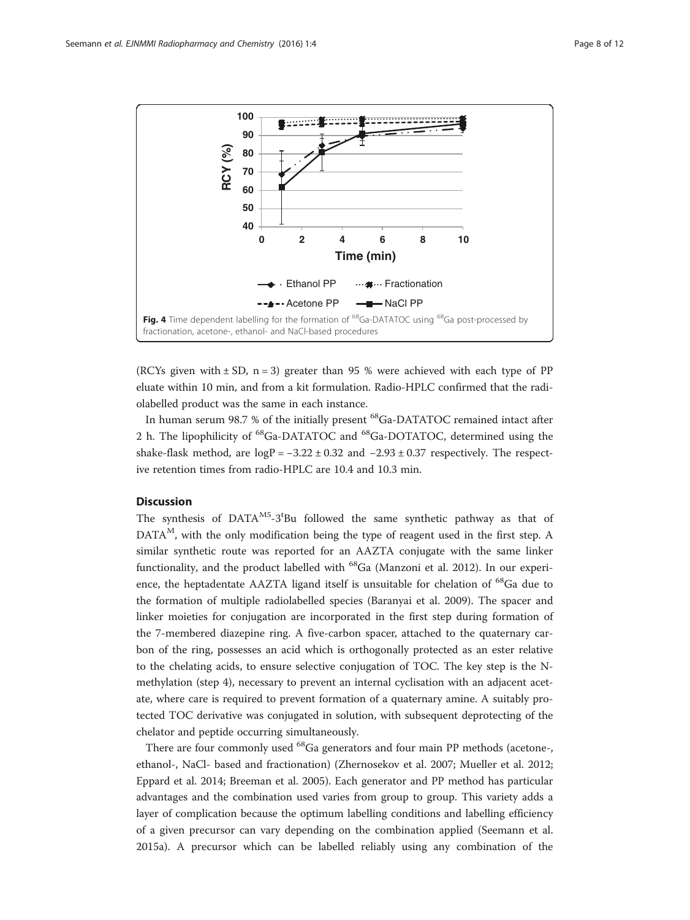<span id="page-7-0"></span>

(RCYs given with  $\pm$  SD, n = 3) greater than 95 % were achieved with each type of PP eluate within 10 min, and from a kit formulation. Radio-HPLC confirmed that the radiolabelled product was the same in each instance.

In human serum 98.7 % of the initially present <sup>68</sup>Ga-DATATOC remained intact after 2 h. The lipophilicity of <sup>68</sup>Ga-DATATOC and <sup>68</sup>Ga-DOTATOC, determined using the shake-flask method, are  $logP = -3.22 \pm 0.32$  and  $-2.93 \pm 0.37$  respectively. The respective retention times from radio-HPLC are 10.4 and 10.3 min.

## **Discussion**

The synthesis of  $DATA^{M5-}3^tBu$  followed the same synthetic pathway as that of DATA<sup>M</sup>, with the only modification being the type of reagent used in the first step. A similar synthetic route was reported for an AAZTA conjugate with the same linker functionality, and the product labelled with  $^{68}$ Ga (Manzoni et al. [2012](#page-11-0)). In our experience, the heptadentate AAZTA ligand itself is unsuitable for chelation of <sup>68</sup>Ga due to the formation of multiple radiolabelled species (Baranyai et al. [2009\)](#page-10-0). The spacer and linker moieties for conjugation are incorporated in the first step during formation of the 7-membered diazepine ring. A five-carbon spacer, attached to the quaternary carbon of the ring, possesses an acid which is orthogonally protected as an ester relative to the chelating acids, to ensure selective conjugation of TOC. The key step is the Nmethylation (step 4), necessary to prevent an internal cyclisation with an adjacent acetate, where care is required to prevent formation of a quaternary amine. A suitably protected TOC derivative was conjugated in solution, with subsequent deprotecting of the chelator and peptide occurring simultaneously.

There are four commonly used <sup>68</sup>Ga generators and four main PP methods (acetone-, ethanol-, NaCl- based and fractionation) (Zhernosekov et al. [2007](#page-11-0); Mueller et al. [2012](#page-11-0); Eppard et al. [2014;](#page-10-0) Breeman et al. [2005\)](#page-10-0). Each generator and PP method has particular advantages and the combination used varies from group to group. This variety adds a layer of complication because the optimum labelling conditions and labelling efficiency of a given precursor can vary depending on the combination applied (Seemann et al. [2015a\)](#page-11-0). A precursor which can be labelled reliably using any combination of the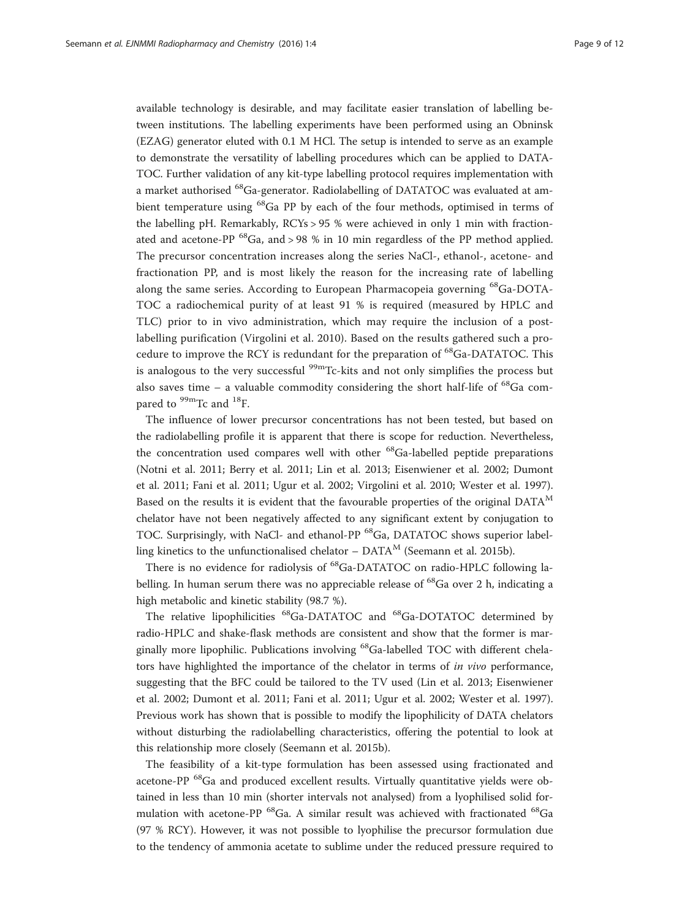available technology is desirable, and may facilitate easier translation of labelling between institutions. The labelling experiments have been performed using an Obninsk (EZAG) generator eluted with 0.1 M HCl. The setup is intended to serve as an example to demonstrate the versatility of labelling procedures which can be applied to DATA-TOC. Further validation of any kit-type labelling protocol requires implementation with a market authorised <sup>68</sup>Ga-generator. Radiolabelling of DATATOC was evaluated at ambient temperature using 68Ga PP by each of the four methods, optimised in terms of the labelling pH. Remarkably, RCYs > 95 % were achieved in only 1 min with fractionated and acetone-PP  ${}^{68}Ga$ , and > 98 % in 10 min regardless of the PP method applied. The precursor concentration increases along the series NaCl-, ethanol-, acetone- and fractionation PP, and is most likely the reason for the increasing rate of labelling along the same series. According to European Pharmacopeia governing 68Ga-DOTA-TOC a radiochemical purity of at least 91 % is required (measured by HPLC and TLC) prior to in vivo administration, which may require the inclusion of a postlabelling purification (Virgolini et al. [2010](#page-11-0)). Based on the results gathered such a procedure to improve the RCY is redundant for the preparation of  ${}^{68}Ga$ -DATATOC. This is analogous to the very successful  $\frac{99 \text{m}}{2}$ Tc-kits and not only simplifies the process but also saves time – a valuable commodity considering the short half-life of  $^{68}$ Ga compared to <sup>99m</sup>Tc and <sup>18</sup>F.

The influence of lower precursor concentrations has not been tested, but based on the radiolabelling profile it is apparent that there is scope for reduction. Nevertheless, the concentration used compares well with other  $^{68}$ Ga-labelled peptide preparations (Notni et al. [2011](#page-11-0); Berry et al. [2011;](#page-10-0) Lin et al. [2013;](#page-10-0) Eisenwiener et al. [2002](#page-10-0); Dumont et al. [2011;](#page-10-0) Fani et al. [2011](#page-10-0); Ugur et al. [2002;](#page-11-0) Virgolini et al. [2010;](#page-11-0) Wester et al. [1997](#page-11-0)). Based on the results it is evident that the favourable properties of the original  $DATA<sup>M</sup>$ chelator have not been negatively affected to any significant extent by conjugation to TOC. Surprisingly, with NaCl- and ethanol-PP <sup>68</sup>Ga, DATATOC shows superior labelling kinetics to the unfunctionalised chelator –  $DATA<sup>M</sup>$  (Seemann et al. [2015b](#page-11-0)).

There is no evidence for radiolysis of <sup>68</sup>Ga-DATATOC on radio-HPLC following labelling. In human serum there was no appreciable release of  $^{68}$ Ga over 2 h, indicating a high metabolic and kinetic stability (98.7 %).

The relative lipophilicities <sup>68</sup>Ga-DATATOC and <sup>68</sup>Ga-DOTATOC determined by radio-HPLC and shake-flask methods are consistent and show that the former is marginally more lipophilic. Publications involving <sup>68</sup>Ga-labelled TOC with different chelators have highlighted the importance of the chelator in terms of in vivo performance, suggesting that the BFC could be tailored to the TV used (Lin et al. [2013](#page-10-0); Eisenwiener et al. [2002;](#page-10-0) Dumont et al. [2011;](#page-10-0) Fani et al. [2011](#page-10-0); Ugur et al. [2002;](#page-11-0) Wester et al. [1997](#page-11-0)). Previous work has shown that is possible to modify the lipophilicity of DATA chelators without disturbing the radiolabelling characteristics, offering the potential to look at this relationship more closely (Seemann et al. [2015b\)](#page-11-0).

The feasibility of a kit-type formulation has been assessed using fractionated and acetone-PP <sup>68</sup>Ga and produced excellent results. Virtually quantitative yields were obtained in less than 10 min (shorter intervals not analysed) from a lyophilised solid formulation with acetone-PP  $^{68}$ Ga. A similar result was achieved with fractionated  $^{68}$ Ga (97 % RCY). However, it was not possible to lyophilise the precursor formulation due to the tendency of ammonia acetate to sublime under the reduced pressure required to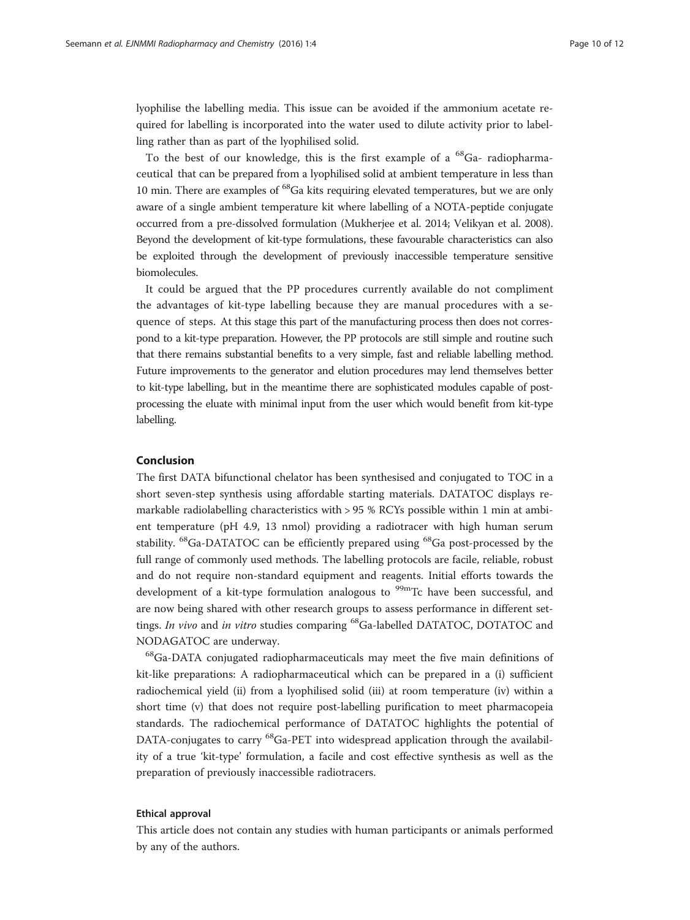lyophilise the labelling media. This issue can be avoided if the ammonium acetate required for labelling is incorporated into the water used to dilute activity prior to labelling rather than as part of the lyophilised solid.

To the best of our knowledge, this is the first example of a  $^{68}$ Ga- radiopharmaceutical that can be prepared from a lyophilised solid at ambient temperature in less than 10 min. There are examples of <sup>68</sup>Ga kits requiring elevated temperatures, but we are only aware of a single ambient temperature kit where labelling of a NOTA-peptide conjugate occurred from a pre-dissolved formulation (Mukherjee et al. [2014](#page-11-0); Velikyan et al. [2008](#page-11-0)). Beyond the development of kit-type formulations, these favourable characteristics can also be exploited through the development of previously inaccessible temperature sensitive biomolecules.

It could be argued that the PP procedures currently available do not compliment the advantages of kit-type labelling because they are manual procedures with a sequence of steps. At this stage this part of the manufacturing process then does not correspond to a kit-type preparation. However, the PP protocols are still simple and routine such that there remains substantial benefits to a very simple, fast and reliable labelling method. Future improvements to the generator and elution procedures may lend themselves better to kit-type labelling, but in the meantime there are sophisticated modules capable of postprocessing the eluate with minimal input from the user which would benefit from kit-type labelling.

#### Conclusion

The first DATA bifunctional chelator has been synthesised and conjugated to TOC in a short seven-step synthesis using affordable starting materials. DATATOC displays remarkable radiolabelling characteristics with > 95 % RCYs possible within 1 min at ambient temperature (pH 4.9, 13 nmol) providing a radiotracer with high human serum stability. <sup>68</sup>Ga-DATATOC can be efficiently prepared using <sup>68</sup>Ga post-processed by the full range of commonly used methods. The labelling protocols are facile, reliable, robust and do not require non-standard equipment and reagents. Initial efforts towards the development of a kit-type formulation analogous to  $99m$ Tc have been successful, and are now being shared with other research groups to assess performance in different settings. In vivo and in vitro studies comparing <sup>68</sup>Ga-labelled DATATOC, DOTATOC and NODAGATOC are underway.

<sup>68</sup>Ga-DATA conjugated radiopharmaceuticals may meet the five main definitions of kit-like preparations: A radiopharmaceutical which can be prepared in a (i) sufficient radiochemical yield (ii) from a lyophilised solid (iii) at room temperature (iv) within a short time (v) that does not require post-labelling purification to meet pharmacopeia standards. The radiochemical performance of DATATOC highlights the potential of DATA-conjugates to carry <sup>68</sup>Ga-PET into widespread application through the availability of a true 'kit-type' formulation, a facile and cost effective synthesis as well as the preparation of previously inaccessible radiotracers.

#### Ethical approval

This article does not contain any studies with human participants or animals performed by any of the authors.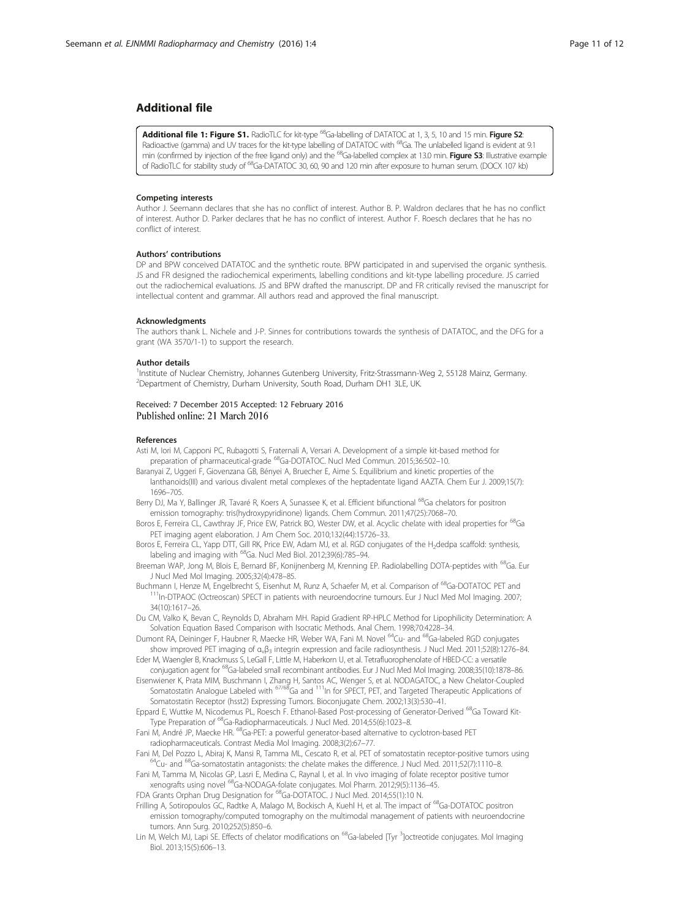#### <span id="page-10-0"></span>Additional file

[Additional file 1: Figure S1.](dx.doi.org/10.1186/s41181-016-0007-3) RadioTLC for kit-type <sup>68</sup>Ga-labelling of DATATOC at 1, 3, 5, 10 and 15 min. Figure S2: Radioactive (gamma) and UV traces for the kit-type labelling of DATATOC with <sup>68</sup>Ga. The unlabelled ligand is evident at 9.1 min (confirmed by injection of the free ligand only) and the <sup>68</sup>Ga-labelled complex at 13.0 min. Figure S3: Illustrative example of RadioTLC for stability study of <sup>68</sup>Ga-DATATOC 30, 60, 90 and 120 min after exposure to human serum. (DOCX 107 kb)

#### Competing interests

Author J. Seemann declares that she has no conflict of interest. Author B. P. Waldron declares that he has no conflict of interest. Author D. Parker declares that he has no conflict of interest. Author F. Roesch declares that he has no conflict of interest.

#### Authors' contributions

DP and BPW conceived DATATOC and the synthetic route. BPW participated in and supervised the organic synthesis. JS and FR designed the radiochemical experiments, labelling conditions and kit-type labelling procedure. JS carried out the radiochemical evaluations. JS and BPW drafted the manuscript. DP and FR critically revised the manuscript for intellectual content and grammar. All authors read and approved the final manuscript.

#### Acknowledgments

The authors thank L. Nichele and J-P. Sinnes for contributions towards the synthesis of DATATOC, and the DFG for a grant (WA 3570/1-1) to support the research.

#### Author details

<sup>1</sup>Institute of Nuclear Chemistry, Johannes Gutenberg University, Fritz-Strassmann-Weg 2, 55128 Mainz, Germany. <sup>2</sup>Department of Chemistry, Durham University, South Road, Durham DH1 3LE, UK

#### Received: 7 December 2015 Accepted: 12 February 2016 Published online: 21 March 2016

#### References

Asti M, Iori M, Capponi PC, Rubagotti S, Fraternali A, Versari A. Development of a simple kit-based method for preparation of pharmaceutical-grade 68Ga-DOTATOC. Nucl Med Commun. 2015;36:502–10.

- Baranyai Z, Uggeri F, Giovenzana GB, Bényei A, Bruecher E, Aime S. Equilibrium and kinetic properties of the lanthanoids(III) and various divalent metal complexes of the heptadentate ligand AAZTA. Chem Eur J. 2009;15(7): 1696–705.
- Berry DJ, Ma Y, Ballinger JR, Tavaré R, Koers A, Sunassee K, et al. Efficient bifunctional <sup>68</sup>Ga chelators for positron emission tomography: tris(hydroxypyridinone) ligands. Chem Commun. 2011;47(25):7068–70.
- Boros E, Ferreira CL, Cawthray JF, Price EW, Patrick BO, Wester DW, et al. Acyclic chelate with ideal properties for <sup>68</sup>Ga PET imaging agent elaboration. J Am Chem Soc. 2010;132(44):15726–33.
- Boros E, Ferreira CL, Yapp DTT, Gill RK, Price EW, Adam MJ, et al. RGD conjugates of the H<sub>2</sub>dedpa scaffold: synthesis, labeling and imaging with <sup>68</sup>Ga. Nucl Med Biol. 2012;39(6):785-94.
- Breeman WAP, Jong M, Blois E, Bernard BF, Konijnenberg M, Krenning EP. Radiolabelling DOTA-peptides with <sup>68</sup>Ga. Eur J Nucl Med Mol Imaging. 2005;32(4):478–85.<br>Buchmann I, Henze M, Engelbrecht S, Eisenhut M, Runz A, Schaefer M, et al. Comparison of <sup>68</sup>Ga-DOTATOC PET and
- $^{111}$ In-DTPAOC (Octreoscan) SPECT in patients with neuroendocrine tumours. Eur J Nucl Med Mol Imaging. 2007; 34(10):1617–26.
- Du CM, Valko K, Bevan C, Reynolds D, Abraham MH. Rapid Gradient RP-HPLC Method for Lipophilicity Determination: A Solvation Equation Based Comparison with Isocratic Methods. Anal Chem. 1998;70:4228–34.
- Dumont RA, Deininger F, Haubner R, Maecke HR, Weber WA, Fani M. Novel <sup>64</sup>Cu- and <sup>68</sup>Ga-labeled RGD conjugates show improved PET imaging of α<sub>ν</sub>β<sub>3</sub> integrin expression and facile radiosynthesis. J Nucl Med. 2011;52(8):1276–84.
- Eder M, Waengler B, Knackmuss S, LeGall F, Little M, Haberkorn U, et al. Tetrafluorophenolate of HBED-CC: a versatile conjugation agent for 68Ga-labeled small recombinant antibodies. Eur J Nucl Med Mol Imaging. 2008;35(10):1878–86.
- Eisenwiener K, Prata MIM, Buschmann I, Zhang H, Santos AC, Wenger S, et al. NODAGATOC, a New Chelator-Coupled Somatostatin Analogue Labeled with <sup>67/68</sup>Ga and <sup>111</sup>In for SPECT, PET, and Targeted Therapeutic Applications of Somatostatin Receptor (hsst2) Expressing Tumors. Bioconjugate Chem. 2002;13(3):530–41.
- Eppard E, Wuttke M, Nicodemus PL, Roesch F. Ethanol-Based Post-processing of Generator-Derived 68Ga Toward Kit-Type Preparation of <sup>68</sup>Ga-Radiopharmaceuticals. J Nucl Med. 2014;55(6):1023-8.
- Fani M, André JP, Maecke HR. <sup>68</sup>Ga-PET: a powerful generator-based alternative to cyclotron-based PET radiopharmaceuticals. Contrast Media Mol Imaging. 2008;3(2):67–77.
- Fani M, Del Pozzo L, Abiraj K, Mansi R, Tamma ML, Cescato R, et al. PET of somatostatin receptor-positive tumors using 64Cu- and 68Ga-somatostatin antagonists: the chelate makes the difference. J Nucl Med. 2011;52(7):1110–
- Fani M, Tamma M, Nicolas GP, Lasri E, Medina C, Raynal I, et al. In vivo imaging of folate receptor positive tumor xenografts using novel 68Ga-NODAGA-folate conjugates. Mol Pharm. 2012;9(5):1136–45.

FDA Grants Orphan Drug Designation for 68Ga-DOTATOC. J Nucl Med. 2014;55(1):10 N.

Frilling A, Sotiropoulos GC, Radtke A, Malago M, Bockisch A, Kuehl H, et al. The impact of <sup>68</sup>Ga-DOTATOC positron emission tomography/computed tomography on the multimodal management of patients with neuroendocrine tumors. Ann Surg. 2010;252(5):850–6.

Lin M, Welch MJ, Lapi SE. Effects of chelator modifications on <sup>68</sup>Ga-labeled [Tyr <sup>3</sup>]octreotide conjugates. Mol Imaging Biol. 2013;15(5):606–13.